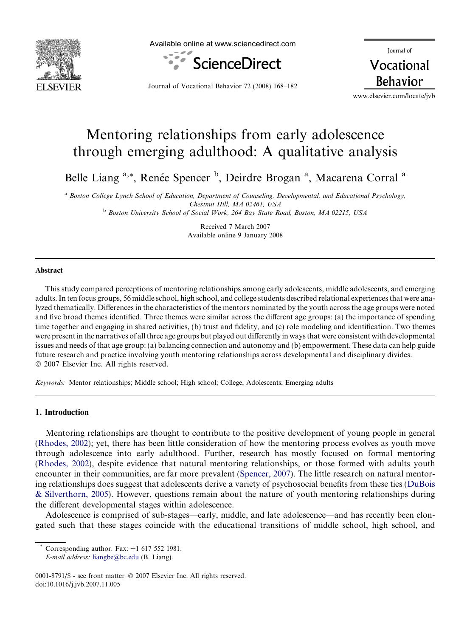

Available online at www.sciencedirect.com



Journal of Vocational **Behavior** 

Journal of Vocational Behavior 72 (2008) 168–182

www.elsevier.com/locate/jvb

## Mentoring relationships from early adolescence through emerging adulthood: A qualitative analysis

Belle Liang <sup>a,\*</sup>, Renée Spencer <sup>b</sup>, Deirdre Brogan<sup>a</sup>, Macarena Corral<sup>a</sup>

<sup>a</sup> Boston College Lynch School of Education, Department of Counseling, Developmental, and Educational Psychology, Chestnut Hill, MA 02461, USA <sup>b</sup> Boston University School of Social Work, 264 Bay State Road, Boston, MA 02215, USA

> Received 7 March 2007 Available online 9 January 2008

## Abstract

This study compared perceptions of mentoring relationships among early adolescents, middle adolescents, and emerging adults. In ten focus groups, 56 middle school, high school, and college students described relational experiences that were analyzed thematically. Differences in the characteristics of the mentors nominated by the youth across the age groups were noted and five broad themes identified. Three themes were similar across the different age groups: (a) the importance of spending time together and engaging in shared activities, (b) trust and fidelity, and (c) role modeling and identification. Two themes were present in the narratives of all three age groups but played out differently in ways that were consistent with developmental issues and needs of that age group: (a) balancing connection and autonomy and (b) empowerment. These data can help guide future research and practice involving youth mentoring relationships across developmental and disciplinary divides.  $© 2007 Elsevier Inc. All rights reserved.$ 

Keywords: Mentor relationships; Middle school; High school; College; Adolescents; Emerging adults

## 1. Introduction

Mentoring relationships are thought to contribute to the positive development of young people in general (Rhodes, 2002); yet, there has been little consideration of how the mentoring process evolves as youth move through adolescence into early adulthood. Further, research has mostly focused on formal mentoring (Rhodes, 2002), despite evidence that natural mentoring relationships, or those formed with adults youth encounter in their communities, are far more prevalent (Spencer, 2007). The little research on natural mentoring relationships does suggest that adolescents derive a variety of psychosocial benefits from these ties (DuBois & Silverthorn, 2005). However, questions remain about the nature of youth mentoring relationships during the different developmental stages within adolescence.

Adolescence is comprised of sub-stages—early, middle, and late adolescence—and has recently been elongated such that these stages coincide with the educational transitions of middle school, high school, and

Corresponding author. Fax:  $+1$  617 552 1981.

E-mail address: [liangbe@bc.edu](mailto:liangbe@bc.edu) (B. Liang).

<sup>0001-8791/\$ -</sup> see front matter © 2007 Elsevier Inc. All rights reserved. doi:10.1016/j.jvb.2007.11.005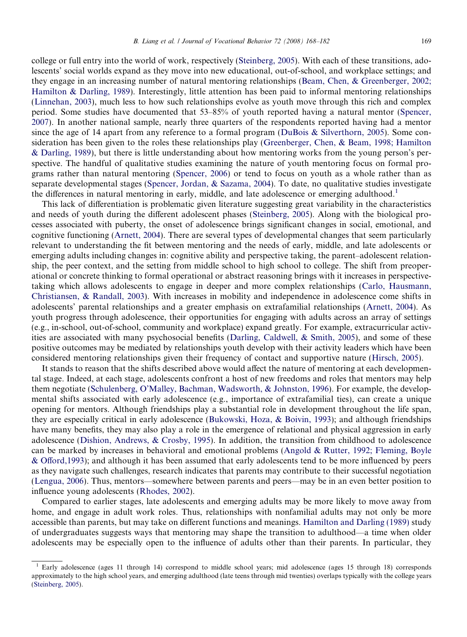college or full entry into the world of work, respectively (Steinberg, 2005). With each of these transitions, adolescents' social worlds expand as they move into new educational, out-of-school, and workplace settings; and they engage in an increasing number of natural mentoring relationships (Beam, Chen, & Greenberger, 2002; Hamilton & Darling, 1989). Interestingly, little attention has been paid to informal mentoring relationships (Linnehan, 2003), much less to how such relationships evolve as youth move through this rich and complex period. Some studies have documented that 53–85% of youth reported having a natural mentor (Spencer, 2007). In another national sample, nearly three quarters of the respondents reported having had a mentor since the age of 14 apart from any reference to a formal program (DuBois & Silverthorn, 2005). Some consideration has been given to the roles these relationships play (Greenberger, Chen, & Beam, 1998; Hamilton & Darling, 1989), but there is little understanding about how mentoring works from the young person's perspective. The handful of qualitative studies examining the nature of youth mentoring focus on formal programs rather than natural mentoring (Spencer, 2006) or tend to focus on youth as a whole rather than as separate developmental stages (Spencer, Jordan, & Sazama, 2004). To date, no qualitative studies investigate the differences in natural mentoring in early, middle, and late adolescence or emerging adulthood.<sup>1</sup>

This lack of differentiation is problematic given literature suggesting great variability in the characteristics and needs of youth during the different adolescent phases (Steinberg, 2005). Along with the biological processes associated with puberty, the onset of adolescence brings significant changes in social, emotional, and cognitive functioning (Arnett, 2004). There are several types of developmental changes that seem particularly relevant to understanding the fit between mentoring and the needs of early, middle, and late adolescents or emerging adults including changes in: cognitive ability and perspective taking, the parent–adolescent relationship, the peer context, and the setting from middle school to high school to college. The shift from preoperational or concrete thinking to formal operational or abstract reasoning brings with it increases in perspectivetaking which allows adolescents to engage in deeper and more complex relationships (Carlo, Hausmann, Christiansen, & Randall, 2003). With increases in mobility and independence in adolescence come shifts in adolescents' parental relationships and a greater emphasis on extrafamilial relationships (Arnett, 2004). As youth progress through adolescence, their opportunities for engaging with adults across an array of settings (e.g., in-school, out-of-school, community and workplace) expand greatly. For example, extracurricular activities are associated with many psychosocial benefits (Darling, Caldwell, & Smith, 2005), and some of these positive outcomes may be mediated by relationships youth develop with their activity leaders which have been considered mentoring relationships given their frequency of contact and supportive nature (Hirsch, 2005).

It stands to reason that the shifts described above would affect the nature of mentoring at each developmental stage. Indeed, at each stage, adolescents confront a host of new freedoms and roles that mentors may help them negotiate (Schulenberg, O'Malley, Bachman, Wadsworth, & Johnston, 1996). For example, the developmental shifts associated with early adolescence (e.g., importance of extrafamilial ties), can create a unique opening for mentors. Although friendships play a substantial role in development throughout the life span, they are especially critical in early adolescence (Bukowski, Hoza, & Boivin, 1993); and although friendships have many benefits, they may also play a role in the emergence of relational and physical aggression in early adolescence (Dishion, Andrews, & Crosby, 1995). In addition, the transition from childhood to adolescence can be marked by increases in behavioral and emotional problems (Angold & Rutter, 1992; Fleming, Boyle & Offord,1993); and although it has been assumed that early adolescents tend to be more influenced by peers as they navigate such challenges, research indicates that parents may contribute to their successful negotiation (Lengua, 2006). Thus, mentors—somewhere between parents and peers—may be in an even better position to influence young adolescents (Rhodes, 2002).

Compared to earlier stages, late adolescents and emerging adults may be more likely to move away from home, and engage in adult work roles. Thus, relationships with nonfamilial adults may not only be more accessible than parents, but may take on different functions and meanings. Hamilton and Darling (1989) study of undergraduates suggests ways that mentoring may shape the transition to adulthood—a time when older adolescents may be especially open to the influence of adults other than their parents. In particular, they

<sup>&</sup>lt;sup>1</sup> Early adolescence (ages 11 through 14) correspond to middle school years; mid adolescence (ages 15 through 18) corresponds approximately to the high school years, and emerging adulthood (late teens through mid twenties) overlaps typically with the college years (Steinberg, 2005).